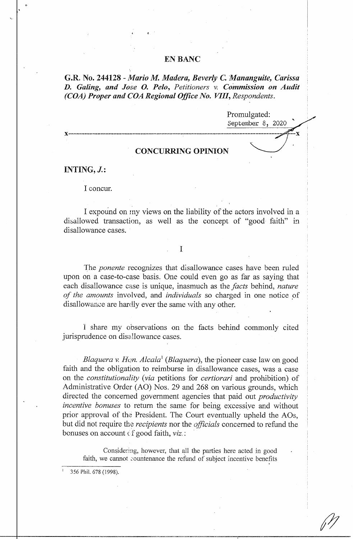## **EN BANC**

**G.R. No. 244128** *- Mario M. Madera, Beverly C. Mananguite, Carissa D. Galing, and Jose 0. Pelo, Petitioners v. Commission on Audit (COA) Proper and COA Regional Office No. VIII, Respondents.* 

Promulgated:<br>September 8, 2020

 $\overline{\mathbf{x}}$ 

# **CONCURRING OPINION**

**x--------------------------------------------------------------------------------**

**INTING, J.:** 

I concur.

I expound on my views on the liability of the actors involved in a disallowed transaction, as well as the concept of "good faith" in disallowance cases.

## I

The *ponente* recognizes that disallowance cases have been ruled upon on a case-to-case basis. One could even go as far as saying that each disallowance case is unique, inasmuch as the *facts* behind, *nature of the amounts* involved, and *individuals* so charged in one notice of disallowance are hardly ever the same with any other.

I share my observations on the facts behind commonly cited jurisprudence on disallowance cases.

*Blaquera v. Hon. Alcala*<sup>1</sup> (*Blaquera*), the pioneer case law on good faith and the obligation to reimburse in disallowance cases, was a case on the *constitutionality (via* petitions for *certiorari* and prohibition) of Administrative Order (AO) Nos. 29 and 268 on various grounds, which directed the concerned government agencies that paid out *productivity incentive bonuses* to return the same for being excessive and without prior approval of the President. The Court eventually upheld the AOs, but did not require the *recipients* nor the *officials* concerned to refund the bonuses on account *cf* good faith, *viz*.:

Considering, however, that all the parties here acted in good faith, we cannot countenance the refund of subject incentive benefits

<sup>1</sup>356 Phil. 678 (1998).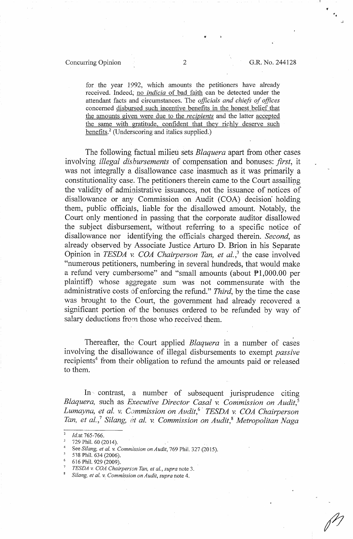, .

for the year 1992, which amounts the petitioners have already received. Indeed; no *indicia* of bad faith can be detected under the attendant facts and circumstances. The *officials and chiefs of offices*  concerned disbursed such incentive benefits in the honest belief that the amounts given were due to the *recipients* and the latter accepted the same with gratitude, confident that they richly deserve such benefits.<sup>2</sup> (Underscoring and italics supplied.)

The following factual milieu sets *Blaquera* apart from other cases involving *illegal disbursements* of compensation and bonuses: *first,* it was not integrally a disallowance case inasmuch as it was primarily a constitutionality case. The petitioners therein came to the Court assailing the validity of administrative issuances, not the issuance of notices of disallowance or any Commission on Audit (COA) decision holding them, public officials, liable for the disallowed amount. Notably, the Court only mentioned in passing that the corporate auditor disallowed the subject disbursement, without referring to a specific notice of disallowance nor identifying the officials charged therein. *Second,* as already observed by Associate Justice Arturo D. Brion in his Separate Opinion in *TESDA* v. *COA Chairperson Tan, et al.,3* the case involved "numerous petitioners, numbering in several hundreds, that would make a refund very cumbersome" and "small amounts (about Pl,000.00 per plaintiff) whose aggregate sum was not commensurate with the administrative costs of enforcing the refund." *Third*, by the time the case was brought to the Court, the government had already recovered a significant portion of the bonuses ordered to be refunded by way of salary deductions from those who received them.

Thereafter, the Court applied *Blaquera* in a number of cases involving the disallowance of illegal disbursements to exempt *passive*  recipients<sup>4</sup> from their obligation to refund the amounts paid or released to them.

In· contrast, a number of subsequent jurisprudence citing *Blaquera,* such as *Executive Director Casal* v. *Commission on Audit,5 Lumayna, et al. v. C.7mmission on Audit,*<sup>6</sup>· *TESDA v. COA Chairperson Tan, et al.,*<sup>7</sup>*Silang, {?t al. v. Commission on Audit,*8 *Metropolitan Naga* 

Id.at 765-766.

<sup>729</sup> Phil. 60 (2014).

See *Silang, et al. v. Commission on Audit*, 769 Phil. 327 (2015).<br>538 Phil. 634 (2006).

<sup>6</sup>616 Phil. 929 (2009).

<sup>7</sup>*TES DA* v. *COA Chairperson Tan, et al., supra* note 3. 8 *Silang, et al. v. Commission on Audit, supra* note 4.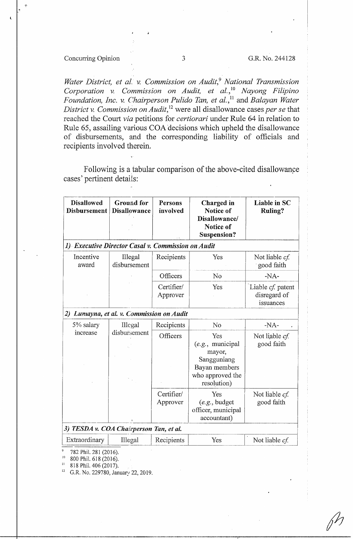# Concurring Opinion 3 G.R. No. 244128

**l** 

Water District, et al. v. Commission on Audit,<sup>9</sup> National Transmission *C01poration v. Commission on Audit, et al.,* <sup>10</sup>*Nayong Filipino Foundation, Inc.* v. *Chairperson Pulido Tan, et al.,* 11 and *Balayan Water District* v. *Commission on Audit,* 12 were all disallowance cases *per se* that reached the Court *via* petitions for *certiorari* under Rule 64 in relation to Rule 65, assailing various COA decisions which upheld the disallowance of disbursements, and the corresponding liability of officials and recipients involved therein.

Following is a tabular comparison of the above-cited disallowance cases' pertinent details:

| <b>Disallowed</b><br>Disbursement                  | <b>Ground</b> for<br><b>Disallowance</b> | <b>Persons</b><br>involved | Charged in<br>Notice of<br>Disallowance/<br>Notice of<br>Suspension?                                   | Liable in SC<br><b>Ruling?</b>                 |
|----------------------------------------------------|------------------------------------------|----------------------------|--------------------------------------------------------------------------------------------------------|------------------------------------------------|
| 1) Executive Director Casal v. Commission on Audit |                                          |                            |                                                                                                        |                                                |
| Incentive<br>award                                 | Illegal<br>disbursement                  | Recipients                 | Yes                                                                                                    | Not liable cf.<br>good faith                   |
|                                                    |                                          | Officers                   | No                                                                                                     | $-NA-$                                         |
|                                                    |                                          | Certifier/<br>Approver     | Yes                                                                                                    | Liable cf. patent<br>disregard of<br>issuances |
| 2) Lumayna, et al. v. Commission on Audit          |                                          |                            |                                                                                                        |                                                |
| 5% salary<br>increase                              | Illegal                                  | Recipients                 | No                                                                                                     | $-NA-$                                         |
|                                                    | disbursement                             | Officers                   | Yes<br>$(e.g.,$ municipal<br>mayor,<br>Sangguniang<br>Bayan members<br>who approved the<br>resolution) | Not liable cf.<br>good faith                   |
|                                                    |                                          | Certifier/<br>Approver     | Yes<br>(e.g., budget)<br>officer, municipal<br>accountant)                                             | Not liable cf.<br>good faith                   |
| 3) TESDA v. COA Chairperson Tan, et al.            |                                          |                            |                                                                                                        |                                                |
| Extraordinary                                      | Illegal                                  | Recipients                 | Yes                                                                                                    | Not liable cf.                                 |

<sup>9</sup> 782 Phil. 281 (2016).

 $^{10}$  800 Phil. 618 (2016).

<sup>11</sup> 818 Phil. 406 (2017).

G.R. No. 229780, January 22, 2019.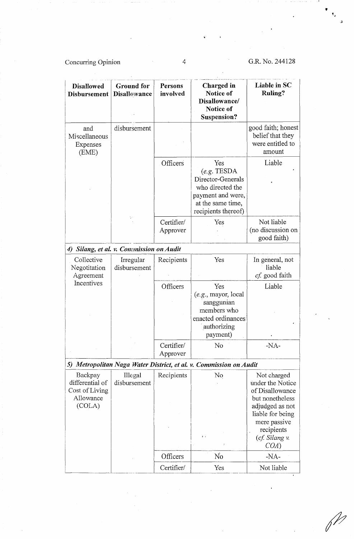Concurring Opinion

 $\mathcal{L}_{\mathcal{A}}$ 

4

# G.R. No. 244128

"

 $\hat{\mathbf{J}}$ 

| <b>Disallowed</b><br><b>Disbursement</b>                            | <b>Ground</b> for<br><b>Disallowance</b> | Persons<br>involved    | <b>Charged</b> in<br>Notice of<br>Disallowance/<br>Notice of<br>Suspension?                                                   | Liable in SC<br><b>Ruling?</b>                                                                                                                               |
|---------------------------------------------------------------------|------------------------------------------|------------------------|-------------------------------------------------------------------------------------------------------------------------------|--------------------------------------------------------------------------------------------------------------------------------------------------------------|
| and<br>Miscellaneous<br>Expenses<br>(EME)                           | disbursement                             |                        |                                                                                                                               | good faith; honest<br>belief that they<br>were entitled to<br>amount                                                                                         |
|                                                                     |                                          | Officers               | Yes<br>(e.g. TESDA)<br>Director-Generals<br>who directed the<br>payment and were,<br>at the same time,<br>recipients thereof) | Liable                                                                                                                                                       |
|                                                                     | y.                                       | Certifier/<br>Approver | Yes                                                                                                                           | Not liable<br>(no discussion on<br>good faith)                                                                                                               |
| 4)                                                                  | Silang, et al. v. Commission on Audit    |                        |                                                                                                                               |                                                                                                                                                              |
| Collective<br>Negotitation<br>Agreement                             | Irregular<br>disbursement                | Recipients             | Yes                                                                                                                           | In general, not<br>liable<br>cf. good faith                                                                                                                  |
| Incentives                                                          |                                          | Officers               | Yes<br>$(e.g.,$ mayor, local<br>sanggunian<br>members who<br>enacted ordinances<br>authorizing<br>payment)                    | Liable                                                                                                                                                       |
|                                                                     |                                          | Certifier/<br>Approver | N <sub>o</sub>                                                                                                                | $-NA-$                                                                                                                                                       |
|                                                                     |                                          |                        | 5) Metropolitan Naga Water District, et al. v. Commission on Audit                                                            |                                                                                                                                                              |
| Backpay<br>differential of<br>Cost of Living<br>Allowance<br>(COLA) | Illegal<br>disbursement                  | Recipients             | No<br>$\mathbf{f}$ :                                                                                                          | Not charged<br>under the Notice<br>of Disallowance<br>but nonetheless<br>adjudged as not<br>liable for being<br>mere passive<br>recipients<br>(cf. Silang v. |
|                                                                     |                                          |                        |                                                                                                                               | COA)                                                                                                                                                         |
|                                                                     |                                          | Officers               | No                                                                                                                            | $-NA-$                                                                                                                                                       |
|                                                                     |                                          | Certifier/             | Yes                                                                                                                           | Not liable                                                                                                                                                   |

 $\mathscr{P}$ 

 $\ddot{\phantom{0}}$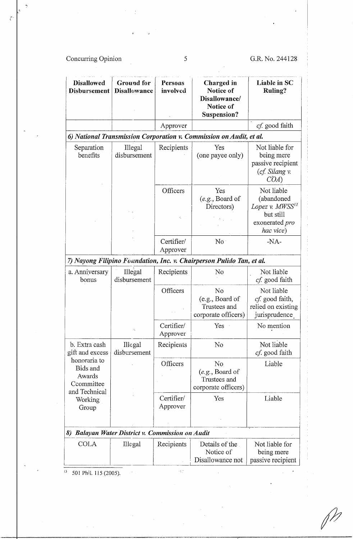# Concurring Opinion 5 G.R. No. 244128

*t* 

| <b>Disallowed</b><br>Disbursement                                                                                         | <b>Ground</b> for<br><b>Disallowance</b>             | Persons<br>involved         | Charged in<br>Notice of<br>Disallowance/<br>Notice of<br>Suspension?  | Liable in SC<br><b>Ruling?</b>                                                                             |
|---------------------------------------------------------------------------------------------------------------------------|------------------------------------------------------|-----------------------------|-----------------------------------------------------------------------|------------------------------------------------------------------------------------------------------------|
|                                                                                                                           |                                                      | Approver                    |                                                                       | cf. good faith                                                                                             |
|                                                                                                                           |                                                      |                             | 6) National Transmission Corporation v. Commission on Audit, et al.   |                                                                                                            |
| Separation<br>benefits                                                                                                    | Illegal<br>disbursement                              | Recipients                  | Yes<br>(one payee only)                                               | Not liable for<br>being mere<br>passive recipient<br>(cf. Silang v.<br>COA)                                |
|                                                                                                                           |                                                      | Officers<br>$\mathcal{O}_2$ | Yes<br>(e.g., Board of<br>Directors)                                  | Not liable<br>(abandoned<br>Lopez v. MWSS <sup>13</sup><br>but still<br>exonerated <i>pro</i><br>hac vice) |
|                                                                                                                           |                                                      | Certifier/<br>Approver      | No                                                                    | $-NA-$                                                                                                     |
|                                                                                                                           |                                                      |                             | 7) Nayong Filipino Foundation, Inc. v. Chairperson Pulido Tan, et al. |                                                                                                            |
| a. Anniversary<br>bonus                                                                                                   | Illegal<br>disbursement                              | Recipients                  | N <sub>0</sub>                                                        | Not liable<br>cf. good faith                                                                               |
|                                                                                                                           |                                                      | Officers                    | No<br>(e.g., Board of<br>Trustees and<br>corporate officers)          | Not liable<br>cf. good faith,<br>relied on existing<br>jurisprudence                                       |
|                                                                                                                           |                                                      | Certifier/<br>Approver      | Yes                                                                   | No mention                                                                                                 |
| b. Extra cash<br>gift and excess<br>honoraria to<br>Bids and<br>Awards<br>Ccommittee<br>and Technical<br>Working<br>Group | <b>Illegal</b><br>disbursement                       | Recipients                  | No                                                                    | Not liable<br>cf. good faith                                                                               |
|                                                                                                                           |                                                      | Officers                    | No<br>(e.g., Board of<br>Trustees and<br>corporate officers)          | Liable                                                                                                     |
|                                                                                                                           |                                                      | Certifier/<br>Approver      | Yes                                                                   | Liable                                                                                                     |
| 8)                                                                                                                        | <b>Balayan Water District v. Commission on Audit</b> |                             |                                                                       |                                                                                                            |
| <b>COLA</b>                                                                                                               | Illegal                                              | Recipients                  | Details of the<br>Notice of<br>Disallowance not                       | Not liable for<br>being mere<br>passive recipient                                                          |

 $\bar{\Delta}^{\mu}_{\mu}$ 

 $\frac{1}{13}$  501 Phil. 115 (2005).

 $\sim 0.1$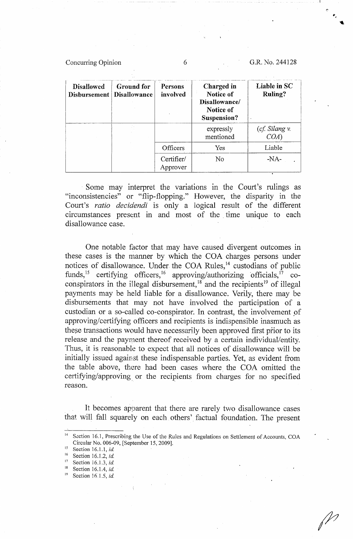Concurring Opinion 6 G.R. No. 244128

| <b>Disallowed</b><br><b>Disbursement</b> | <b>Ground for</b><br><b>Disallowance</b> | Persons<br>involved    | Charged in<br>Notice of<br>Disallowance/<br>Notice of<br>Suspension? | Liable in SC<br>Ruling? |
|------------------------------------------|------------------------------------------|------------------------|----------------------------------------------------------------------|-------------------------|
|                                          |                                          |                        | expressly<br>mentioned                                               | (cf. Silang v.<br>COA)  |
|                                          |                                          | Officers               | Yes                                                                  | Liable                  |
|                                          |                                          | Certifier/<br>Approver | No                                                                   | $-NA-$<br>٠             |

Some may interpret the variations in the Court's rulings as "inconsistencies" or "flip-flopping." However, the disparity in the Court's *ratio decidendi* is only a logical result of the different circumstances present in and most of the time unique to each disallowance case.

One notable factor that may have caused divergent outcomes in these cases is the manner by which the COA charges persons under notices of disallowance. Under the COA Rules,<sup>14</sup> custodians of public funds,<sup>15</sup> certifying officers,<sup>16</sup> approving/authorizing officials,<sup>17</sup> coconspirators in the illegal disbursement,<sup>18</sup> and the recipients<sup>19</sup> of illegal payments may be held liable for a disallowance. Verily, there may be disbursements that may not have involved the participation of a custodian or a so-called co-conspirator. In contrast, the involvement of approving/certifying officers and recipients is indispensible inasmuch as these transactions would have necessarily been approved first prior to its release and the payment thereof received by a certain individual/entity. Thus, it is reasonable to expect that all notices of disallowance will be initially issued against these indispensable parties. Yet, as evident from the table above, there had been cases where. the COA omitted the certifying/approving or the recipients from charges for no specified reason.

It becomes apparent that there are rarely tvvo disallowance cases that will fall squarely on each others' factual foundation. The present

- 15 Section 16.1.1, *id*
- 16 Section 16.1.2, *id.*
- Section 16.1.3, *id.*
- Section 16.1.4, *id.*
- Section 16.1.5, *id.*

<sup>&</sup>lt;sup>14</sup> Section 16.1, Prescribing the Use of the Rules and Regulations on Settlement of Accounts, COA Circular No. 006-09, [September 15, 2009].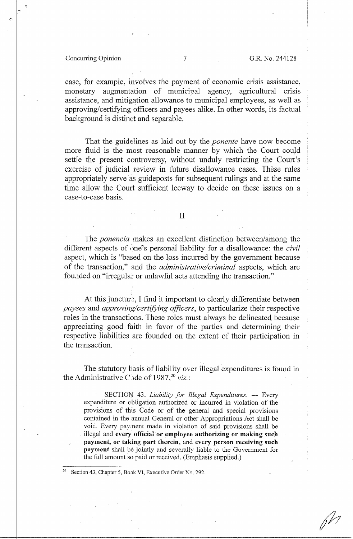### Concurring Opinion 7 G.R. No. 244128

('.

case, for example, involves the payment of economic crisis assistance, monetary augmentation of municipal agency, agricultural crisis assistance, and mitigation allowance to municipal employees, as well as approving/certifying officers and payees alike. In other words, its factual background is distinct and separable.

That the guidelines as laid out by the *ponente* have now become more fluid is the most reasonable manner by which the Court could settle the present controversy, without unduly restricting the Court's exercise of judicial review in future disallowance cases. These rules appropriately serve as guideposts for subsequent rulings and at the same time allow the Court sufficient leeway to decide on these issues on a case-to-case basis.

II

The *ponencia* makes an excellent distinction between/among the different aspects of ,ine's personal liability for a disallowance: the *civil*  aspect, which is "based on the loss incurred by the government because of the transaction," and the *administrative/criminal* aspects, which are fouaded on "irregular or unlawful acts attending the transaction."

At this juncture, I find it important to clearly differentiate between *payees* and *approving/certifying officers,* to particularize their respective roles in the transactions. These roles must always be delineated because appreciating good faith in favor of the parties and detennining their respective liabilities are founded on the extent of their participation in the transaction.

The statutory basis of liability over illegal expenditures is found in the Administrative C ide of 1987,<sup>20</sup> *viz.*:

SECTION 43. *Liability for Illegal Expenditures*. - Every expenditure or cbligation authorized or incuned in violation of the provisions of this Code or of the general and special provisions contained in the annual General or other Appropriations Act shall be void. Every pay,nent made in violation of said provisions shall be illegal and **every official or employee authorizing or making such payment, or taking part therein,** and **every person receiving such payment** shall be jointly and severally liable to the Government for the full amount so paid or received. (Emphasis supplied.)

Section 43, Chapter 5, Book VI, Executive Order No. 292.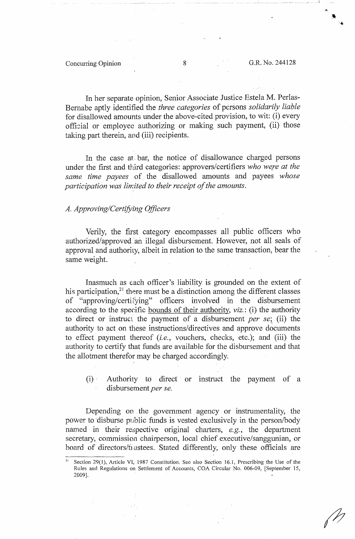#### Concurring Opinion 8 G.R. No. 244128

In her separate opinion, Senior Associate Justice Estela M. Perlas-Bernabe aptly identified the *three categories* of persons *solidarily liable*  for disallowed amounts under the above-cited provision, to wit: (i) every official or employee authorizing or making such payment, (ii) those taking part therein, and (iii) recipients.

In the case at bar, the notice of disallowance charged persons under the first and third categories: approvers/certifiers *who were at the same time payees* of the disallowed amounts and payees *whose participation was limited to their receipt of the amounts.* 

#### *A. Approving/Certifying Officers*

Verily, the first category encompasses all public officers who authorized/approved an illegal disbursement. However, not all seals of approval and authority, albeit in relation to the same transaction, bear the same weight.

Inasmuch as each officer's liability is grounded on the extent of his participation, $21$  there must be a distinction among the different classes of "approving/certifying" officers involved in the disbursement according to the specific bounds of their authority, *viz.:* (i) the authority to direct or instruct the payment of a disbursement *per se*; (ii) the authority to act on these instructions/ directives and approve documents to effect payment thereof *(i.e.,* vouchers, checks, etc.); and (iii) the authority to certify that funds are available for the disbursement and that the allotment therefor may be charged accordingly.

(i) Authority to direct or instruct the payment of a disbursement *per se.* 

Depending on the government agency or instrumentality, the power to disburse public funds is vested exclusively in the person/body named in their respective original charters, *e.g.*, the department secretary, commission chairperson, local chief executive/sanggunian, or board of directors/frustees. Stated differently, only these officials are

Section 29(1), Article VI, 1987 Constitution. See also Section 16.1, Prescribing the Use of the Rules and Regulations on Settlement of Accounts, COA Circular No. 006-09, [September 15, 2009].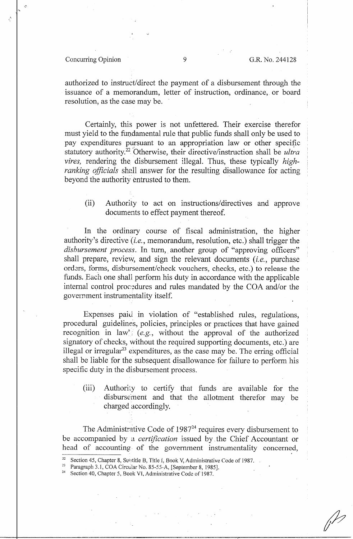#### Concurring Opinion 9 G.R. No. 244128

 $\mathcal{E}$ 

authorized to instruct/direct the payment of a disbursement through the issuance of a memorandum, letter of instruction, ordinance,. or board resolution, as the case may be.

Certainly, this power is not unfettered. Their exercise therefor must yield to the fundamental rule that public funds shall only be used to pay expenditures pursuant to an appropriation law or other specific statutory authority.<sup>22</sup> Otherwise, their directive/instruction shall be *ultra vires,* rendering the disbursement illegal. Thus, these typically *highranking officials* shall answer for the resulting disallowance for acting beyond the authority entrusted to them.

(ii) Authority to act on instructions/directives and approve documents to effect payment thereof.

In the ordinary course of fiscal administration, the higher authority's directive *(i.e.,* memorandum, resolution, etc.) shall trigger the *disbursement process.* In turn, another group of "approving officers" shall prepare, review, and sign the relevant documents *(i.e., purchase* orders, forms, disbursement/check vouchers, checks, etc.) to release the funds. Each one shall perform his duty in accordance with the applicable internal control procedures and rules mandated by the COA and/or the government instrumentality itself.

Expenses paid in violation of "established rules, regulations, procedural guidelines, policies, principles or practices that have gained recognition in law' (e.g., without the approval of the authorized signatory of checks, without the required supporting documents, etc.) are illegal or irregular<sup>23</sup> expenditures, as the case may be. The erring official shall be liable for the subsequent disallowance for failure to perform his specific duty in the disbursement process.

(iii) Authority to certify that funds are available for the disbursement and that the allotment therefor may be charged accordingly.

The Administrative Code of  $1987<sup>24</sup>$  requires every disbursement to be accompanied by a *certification* issued by. the Chief Accountant or head of accounting of the government instrumentality concerned,

- 
- 

<sup>&</sup>lt;sup>22</sup> Section 45, Chapter 8, Subtitle B, Title I, Book V, Administrative Code of 1987.<br><sup>23</sup> Paragraph 3.1, COA Circutar No. 85-55-A, [September 8, 1985].<br><sup>24</sup> Section 40, Chapter 5, Book VI, Administrative Code of 1987.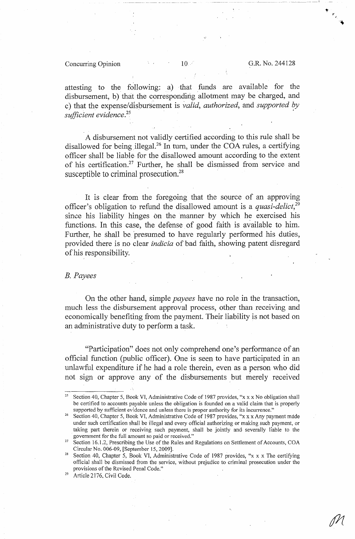#### Concurring Opinion  $10 \text{ cm}$  G.R. No. 244128

·-·-·-~-- \_\_\_\_\_\_\_ ll

attesting to the following: a) that funds are available for the disbursement, b) that the corresponding allotment may be charged, and c) that the expense/disbursement is *valid, authorized,* and *supported by sufficient evidence.* 25 •

A disbursement not validly certified according to this rule shall be disallowed for being illegal.<sup>26</sup> In turn, under the COA rules, a certifying officer shall be liable for the disallowed amount according to the extent of his certification.<sup>27</sup> Further, he shall be dismissed from service and susceptible to criminal prosecution.<sup>28</sup>

It is clear from the foregoing that the source of an approving officer's obligation to refund the disallowed amount is a *quasi-delict,*<sup>29</sup> since his liability hinges on the manner by which he exercised his functions. In this case, the defense of good faith is available to him. Further, he shall be 'presumed to have regularly performed his duties, provided there is no clear *indicia* of bad faith, showing patent disregard of his responsibility.

#### *B. Payees*

On the other hand, simple *payees* have no role in the transaction, much less the disbursement approval process, other than receiving and economically benefiting from the payment. Their liability is not based on an administrative duty to perform a task.

"Participation" does not only comprehend one's performance of an official function (public officer). One is seen to have participated in an unlawful expenditure if he had a role therein, even as a person who did not sign or approve any of the disbursements but merely received

<sup>25</sup> Section 40, Chapter 5, Book VI, Administrative Code of 1987 provides, "x xx No obligation shall be certified to accounts payable unless the obligation is founded on a valid claim that is properly supported by sufficient evidence and unless there is proper authority for its incurrence."

Section 40, Chapter 5, Book VI, Administrative Code of 1987 provides, "x x x Any payment made under such certification shall be illegal and every official authorizing or making such payment, or taking part therein or receiving such payment, shall be jointly and severally liable to the government for the full amount so paid or received."

Section 16.1.2, Prescribing the Use of the Rules and Regulations on Settlement of Accounts, COA Circular No. 006-09, [September 15, 2009].

Section 40, Chapter 5, Book VI, Administrative Code of 1987 provides, "x x x The certifying official shall be dismissed from the service, without prejudice to criminal prosecution under the provisions of the Revised Penal Code."<br>Article 2176, Civil Code.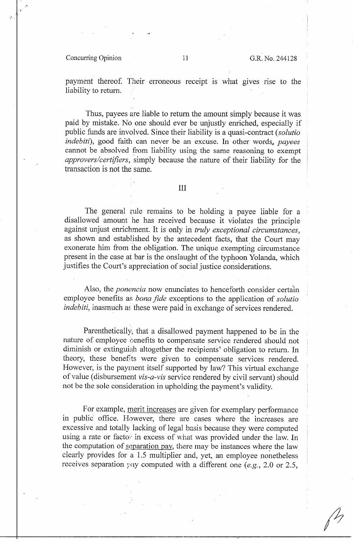#### Concurring Opinion 11 G.R. No. 244128

payment thereof. Their erroneous receipt is what gives rise to the liability to return.

Thus, payees are liable to return the amount simply because it was paid by mistake. No one should ever be unjustly enriched, especially if public funds are involved. Since their liability is a quasi-contract *(solutio*) *indebiti),* good faith can never be an excuse. In other words., *payees*  cannot be absolved from liability using the same reasoning to exempt *approvers/certifiers,* simply because the nature of their liability for the transaction is not the same.

#### III

The general rule remains to be holding a payee liable for a disallowed amount he has received because it violates the principle against unjust enrichment. It is only in *truly exceptional circumstances,*  as shown and established by the antecedent facts, that the Court may exonerate him from the obligation. The unique exempting circumstance present in the case at bar is the onslaught of the typhoon Yolanda, which justifies the Court's appreciation of social justice considerations.

Also, the *ponencia* now enunciates to henceforth consider certain employee benefits as *bona fide* exceptions to the application of *solutio indebiti*, inasmuch as these were paid in exchange of services rendered.

Parenthetically, that a disallowed payment happened to be in the nature of employee cenefits to compensate service rendered should not diminish or extinguish altogether the recipients' obligation to return. In theory, these benefits were given to compensate services rendered. However, is the payment itself supported by law? This virtual exchange of value (disbursement *vis-a-vis* service rendered by civil servant) should not be the sole consideration in upholding the payment's validity.

For example, merit increases are given for exemplary performance in public office. However, there are cases where the increases are excessive and totally lacking of legal basis because they were computed using a rate or facto: in excess of what was provided under the law. In the computation of separation pay, there may be instances where the law clearly provides for a 1.5 multiplier and, yet, an employee nonetheless receives separation pay computed with a different one *(e.g.,* 2.0 or 2.5,